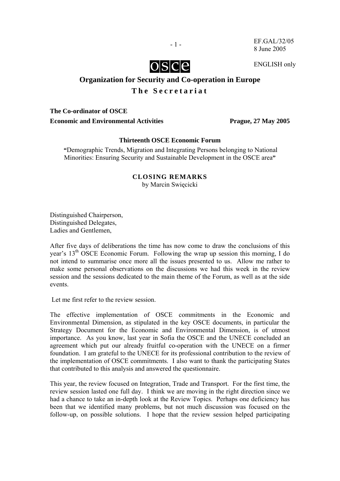

EF.GAL/32/05 8 June 2005

ENGLISH only

# **Organization for Security and Co-operation in Europe**

## **The Secretariat**

**The Co-ordinator of OSCE**  Economic and Environmental Activities Prague, 27 May 2005

 $-1$  -

## **Thirteenth OSCE Economic Forum**

**"**Demographic Trends, Migration and Integrating Persons belonging to National Minorities: Ensuring Security and Sustainable Development in the OSCE area**"** 

## **CLOSING REMARKS**

by Marcin Swięcicki

Distinguished Chairperson, Distinguished Delegates, Ladies and Gentlemen,

After five days of deliberations the time has now come to draw the conclusions of this year's 13th OSCE Economic Forum. Following the wrap up session this morning, I do not intend to summarise once more all the issues presented to us. Allow me rather to make some personal observations on the discussions we had this week in the review session and the sessions dedicated to the main theme of the Forum, as well as at the side events.

Let me first refer to the review session.

The effective implementation of OSCE commitments in the Economic and Environmental Dimension, as stipulated in the key OSCE documents, in particular the Strategy Document for the Economic and Environmental Dimension, is of utmost importance. As you know, last year in Sofia the OSCE and the UNECE concluded an agreement which put our already fruitful co-operation with the UNECE on a firmer foundation. I am grateful to the UNECE for its professional contribution to the review of the implementation of OSCE commitments. I also want to thank the participating States that contributed to this analysis and answered the questionnaire.

This year, the review focused on Integration, Trade and Transport. For the first time, the review session lasted one full day. I think we are moving in the right direction since we had a chance to take an in-depth look at the Review Topics. Perhaps one deficiency has been that we identified many problems, but not much discussion was focused on the follow-up, on possible solutions. I hope that the review session helped participating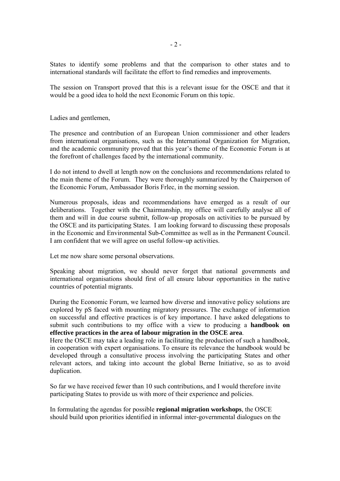States to identify some problems and that the comparison to other states and to international standards will facilitate the effort to find remedies and improvements.

The session on Transport proved that this is a relevant issue for the OSCE and that it would be a good idea to hold the next Economic Forum on this topic.

Ladies and gentlemen,

The presence and contribution of an European Union commissioner and other leaders from international organisations, such as the International Organization for Migration, and the academic community proved that this year's theme of the Economic Forum is at the forefront of challenges faced by the international community.

I do not intend to dwell at length now on the conclusions and recommendations related to the main theme of the Forum. They were thoroughly summarized by the Chairperson of the Economic Forum, Ambassador Boris Frlec, in the morning session.

Numerous proposals, ideas and recommendations have emerged as a result of our deliberations. Together with the Chairmanship, my office will carefully analyse all of them and will in due course submit, follow-up proposals on activities to be pursued by the OSCE and its participating States. I am looking forward to discussing these proposals in the Economic and Environmental Sub-Committee as well as in the Permanent Council. I am confident that we will agree on useful follow-up activities.

Let me now share some personal observations.

Speaking about migration, we should never forget that national governments and international organisations should first of all ensure labour opportunities in the native countries of potential migrants.

During the Economic Forum, we learned how diverse and innovative policy solutions are explored by pS faced with mounting migratory pressures. The exchange of information on successful and effective practices is of key importance. I have asked delegations to submit such contributions to my office with a view to producing a **handbook on effective practices in the area of labour migration in the OSCE area**.

Here the OSCE may take a leading role in facilitating the production of such a handbook, in cooperation with expert organisations. To ensure its relevance the handbook would be developed through a consultative process involving the participating States and other relevant actors, and taking into account the global Berne Initiative, so as to avoid duplication.

So far we have received fewer than 10 such contributions, and I would therefore invite participating States to provide us with more of their experience and policies.

In formulating the agendas for possible **regional migration workshops**, the OSCE should build upon priorities identified in informal inter-governmental dialogues on the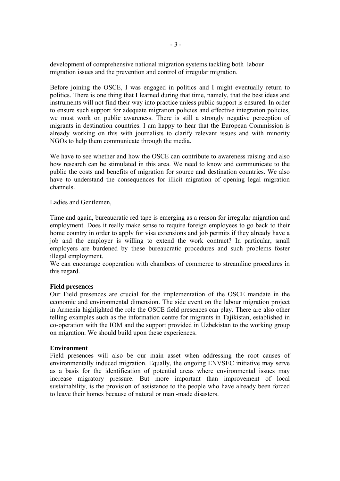development of comprehensive national migration systems tackling both labour migration issues and the prevention and control of irregular migration.

Before joining the OSCE, I was engaged in politics and I might eventually return to politics. There is one thing that I learned during that time, namely, that the best ideas and instruments will not find their way into practice unless public support is ensured. In order to ensure such support for adequate migration policies and effective integration policies, we must work on public awareness. There is still a strongly negative perception of migrants in destination countries. I am happy to hear that the European Commission is already working on this with journalists to clarify relevant issues and with minority NGOs to help them communicate through the media.

We have to see whether and how the OSCE can contribute to awareness raising and also how research can be stimulated in this area. We need to know and communicate to the public the costs and benefits of migration for source and destination countries. We also have to understand the consequences for illicit migration of opening legal migration channels.

Ladies and Gentlemen,

Time and again, bureaucratic red tape is emerging as a reason for irregular migration and employment. Does it really make sense to require foreign employees to go back to their home country in order to apply for visa extensions and job permits if they already have a job and the employer is willing to extend the work contract? In particular, small employers are burdened by these bureaucratic procedures and such problems foster illegal employment.

We can encourage cooperation with chambers of commerce to streamline procedures in this regard.

### **Field presences**

Our Field presences are crucial for the implementation of the OSCE mandate in the economic and environmental dimension. The side event on the labour migration project in Armenia highlighted the role the OSCE field presences can play. There are also other telling examples such as the information centre for migrants in Tajikistan, established in co-operation with the IOM and the support provided in Uzbekistan to the working group on migration. We should build upon these experiences.

#### **Environment**

Field presences will also be our main asset when addressing the root causes of environmentally induced migration. Equally, the ongoing ENVSEC initiative may serve as a basis for the identification of potential areas where environmental issues may increase migratory pressure. But more important than improvement of local sustainability, is the provision of assistance to the people who have already been forced to leave their homes because of natural or man -made disasters.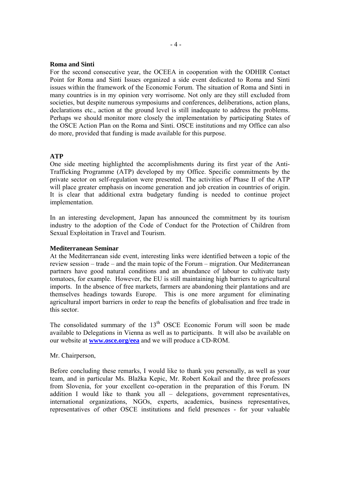#### **Roma and Sinti**

For the second consecutive year, the OCEEA in cooperation with the ODHIR Contact Point for Roma and Sinti Issues organized a side event dedicated to Roma and Sinti issues within the framework of the Economic Forum. The situation of Roma and Sinti in many countries is in my opinion very worrisome. Not only are they still excluded from societies, but despite numerous symposiums and conferences, deliberations, action plans, declarations etc., action at the ground level is still inadequate to address the problems. Perhaps we should monitor more closely the implementation by participating States of the OSCE Action Plan on the Roma and Sinti. OSCE institutions and my Office can also do more, provided that funding is made available for this purpose.

#### **ATP**

One side meeting highlighted the accomplishments during its first year of the Anti-Trafficking Programme (ATP) developed by my Office. Specific commitments by the private sector on self-regulation were presented. The activities of Phase II of the ATP will place greater emphasis on income generation and job creation in countries of origin. It is clear that additional extra budgetary funding is needed to continue project implementation.

In an interesting development, Japan has announced the commitment by its tourism industry to the adoption of the Code of Conduct for the Protection of Children from Sexual Exploitation in Travel and Tourism.

#### **Mediterranean Seminar**

At the Mediterranean side event, interesting links were identified between a topic of the review session – trade – and the main topic of the Forum – migration. Our Mediterranean partners have good natural conditions and an abundance of labour to cultivate tasty tomatoes, for example. However, the EU is still maintaining high barriers to agricultural imports. In the absence of free markets, farmers are abandoning their plantations and are themselves headings towards Europe. This is one more argument for eliminating agricultural import barriers in order to reap the benefits of globalisation and free trade in this sector.

The consolidated summary of the  $13<sup>th</sup>$  OSCE Economic Forum will soon be made available to Delegations in Vienna as well as to participants. It will also be available on our website at **www.osce.org/eea** and we will produce a CD-ROM.

#### Mr. Chairperson,

Before concluding these remarks, I would like to thank you personally, as well as your team, and in particular Ms. Blažka Kepic, Mr. Robert Kokail and the three professors from Slovenia, for your excellent co-operation in the preparation of this Forum. IN addition I would like to thank you all – delegations, government representatives, international organizations, NGOs, experts, academics, business representatives, representatives of other OSCE institutions and field presences - for your valuable